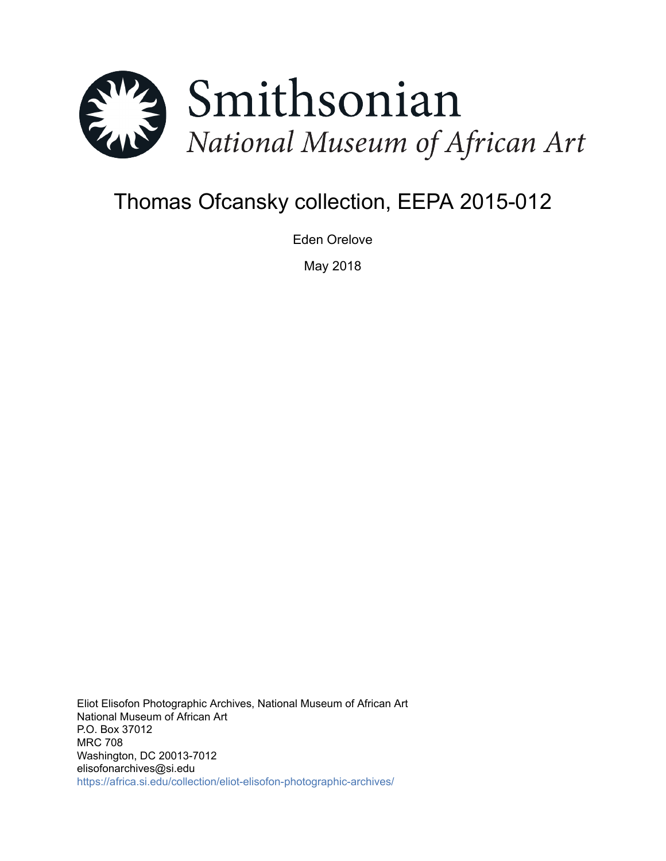

# Thomas Ofcansky collection, EEPA 2015-012

Eden Orelove

May 2018

Eliot Elisofon Photographic Archives, National Museum of African Art National Museum of African Art P.O. Box 37012 MRC 708 Washington, DC 20013-7012 elisofonarchives@si.edu <https://africa.si.edu/collection/eliot-elisofon-photographic-archives/>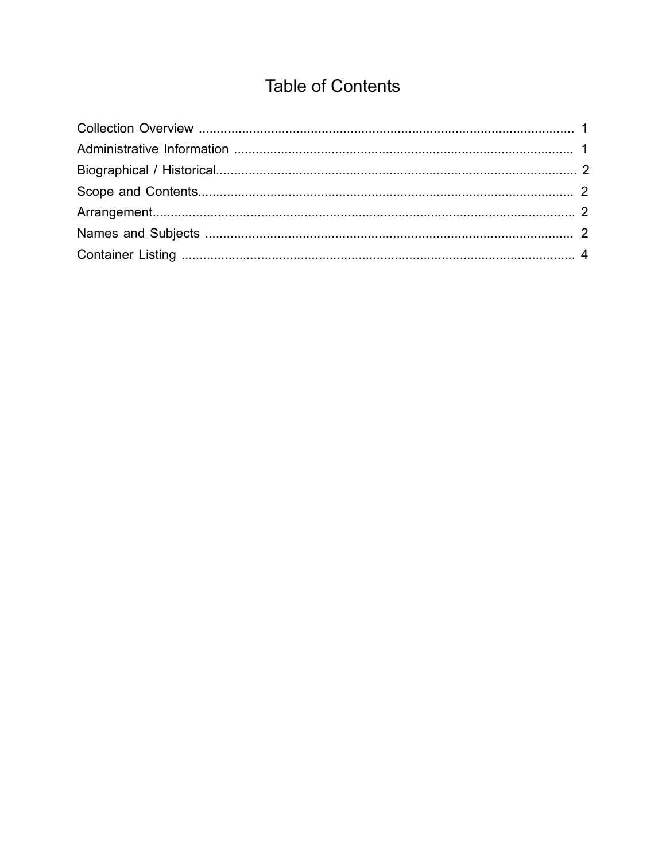## **Table of Contents**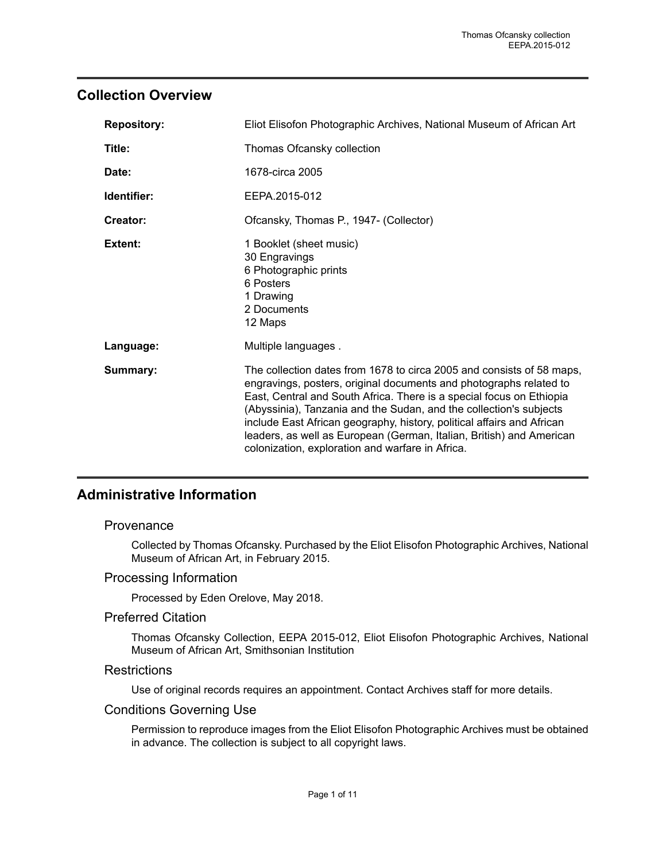## <span id="page-2-0"></span>**Collection Overview**

| <b>Repository:</b> | Eliot Elisofon Photographic Archives, National Museum of African Art                                                                                                                                                                                                                                                                                                                                                                                                                            |  |  |
|--------------------|-------------------------------------------------------------------------------------------------------------------------------------------------------------------------------------------------------------------------------------------------------------------------------------------------------------------------------------------------------------------------------------------------------------------------------------------------------------------------------------------------|--|--|
| Title:             | Thomas Ofcansky collection                                                                                                                                                                                                                                                                                                                                                                                                                                                                      |  |  |
| Date:              | 1678-circa 2005                                                                                                                                                                                                                                                                                                                                                                                                                                                                                 |  |  |
| Identifier:        | EEPA.2015-012                                                                                                                                                                                                                                                                                                                                                                                                                                                                                   |  |  |
| Creator:           | Ofcansky, Thomas P., 1947- (Collector)                                                                                                                                                                                                                                                                                                                                                                                                                                                          |  |  |
| Extent:            | 1 Booklet (sheet music)<br>30 Engravings<br>6 Photographic prints<br>6 Posters<br>1 Drawing<br>2 Documents<br>12 Maps                                                                                                                                                                                                                                                                                                                                                                           |  |  |
| Language:          | Multiple languages.                                                                                                                                                                                                                                                                                                                                                                                                                                                                             |  |  |
| Summary:           | The collection dates from 1678 to circa 2005 and consists of 58 maps,<br>engravings, posters, original documents and photographs related to<br>East, Central and South Africa. There is a special focus on Ethiopia<br>(Abyssinia), Tanzania and the Sudan, and the collection's subjects<br>include East African geography, history, political affairs and African<br>leaders, as well as European (German, Italian, British) and American<br>colonization, exploration and warfare in Africa. |  |  |

## <span id="page-2-1"></span>**Administrative Information**

#### **Provenance**

Collected by Thomas Ofcansky. Purchased by the Eliot Elisofon Photographic Archives, National Museum of African Art, in February 2015.

#### Processing Information

Processed by Eden Orelove, May 2018.

#### Preferred Citation

Thomas Ofcansky Collection, EEPA 2015-012, Eliot Elisofon Photographic Archives, National Museum of African Art, Smithsonian Institution

#### **Restrictions**

Use of original records requires an appointment. Contact Archives staff for more details.

#### Conditions Governing Use

Permission to reproduce images from the Eliot Elisofon Photographic Archives must be obtained in advance. The collection is subject to all copyright laws.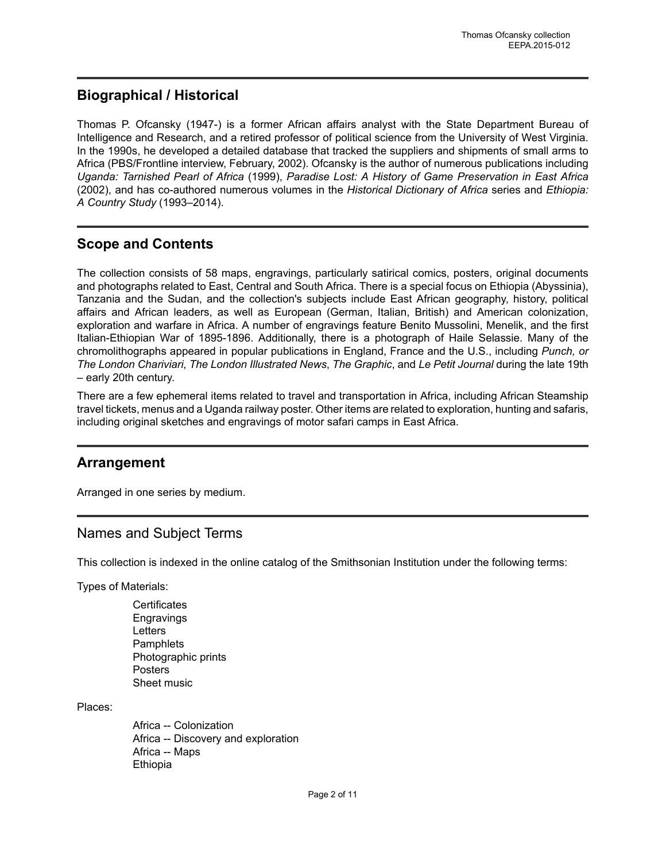## <span id="page-3-0"></span>**Biographical / Historical**

Thomas P. Ofcansky (1947-) is a former African affairs analyst with the State Department Bureau of Intelligence and Research, and a retired professor of political science from the University of West Virginia. In the 1990s, he developed a detailed database that tracked the suppliers and shipments of small arms to Africa (PBS/Frontline interview, February, 2002). Ofcansky is the author of numerous publications including *Uganda: Tarnished Pearl of Africa* (1999), *Paradise Lost: A History of Game Preservation in East Africa* (2002), and has co-authored numerous volumes in the *Historical Dictionary of Africa* series and *Ethiopia: A Country Study* (1993–2014).

## <span id="page-3-1"></span>**Scope and Contents**

The collection consists of 58 maps, engravings, particularly satirical comics, posters, original documents and photographs related to East, Central and South Africa. There is a special focus on Ethiopia (Abyssinia), Tanzania and the Sudan, and the collection's subjects include East African geography, history, political affairs and African leaders, as well as European (German, Italian, British) and American colonization, exploration and warfare in Africa. A number of engravings feature Benito Mussolini, Menelik, and the first Italian-Ethiopian War of 1895-1896. Additionally, there is a photograph of Haile Selassie. Many of the chromolithographs appeared in popular publications in England, France and the U.S., including *Punch, or The London Chariviari*, *The London Illustrated News*, *The Graphic*, and *Le Petit Journal* during the late 19th – early 20th century.

There are a few ephemeral items related to travel and transportation in Africa, including African Steamship travel tickets, menus and a Uganda railway poster. Other items are related to exploration, hunting and safaris, including original sketches and engravings of motor safari camps in East Africa.

## <span id="page-3-2"></span>**Arrangement**

Arranged in one series by medium.

## <span id="page-3-3"></span>Names and Subject Terms

This collection is indexed in the online catalog of the Smithsonian Institution under the following terms:

Types of Materials:

**Certificates** Engravings **Letters Pamphlets** Photographic prints Posters Sheet music

Places:

Africa -- Colonization Africa -- Discovery and exploration Africa -- Maps Ethiopia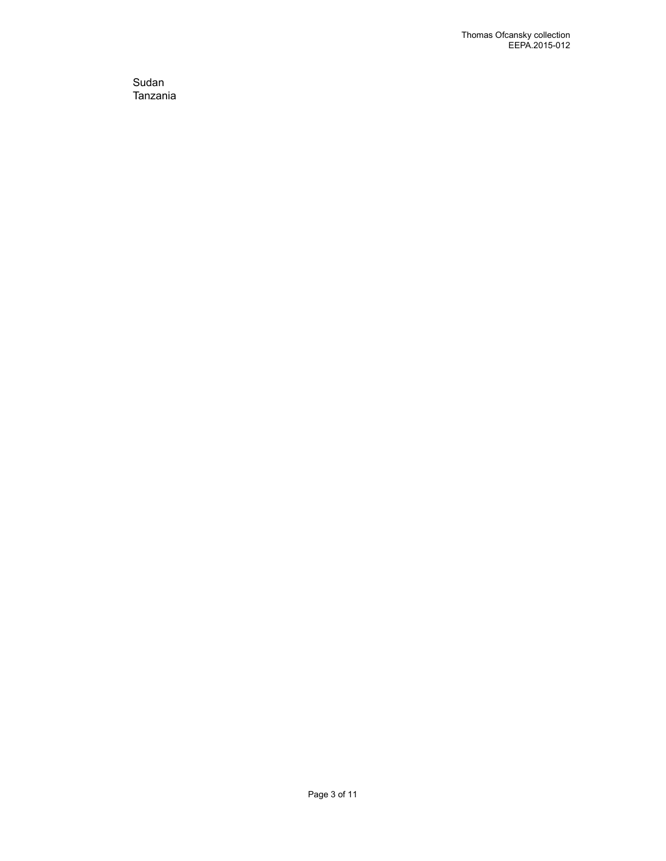Sudan Tanzania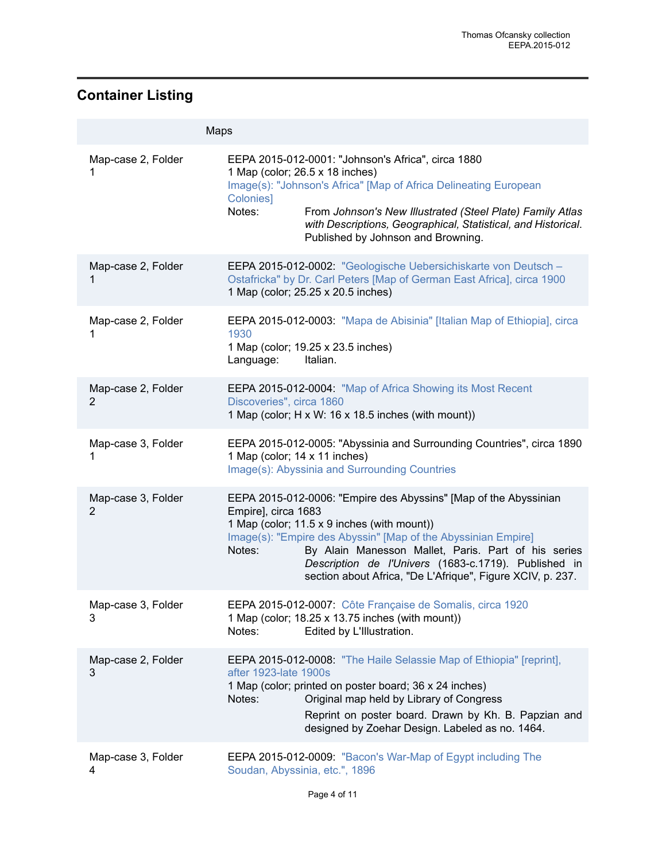## <span id="page-5-0"></span>**Container Listing**

|                         | Maps                                                                                                                                                                                                                                                                                                                                                                                           |
|-------------------------|------------------------------------------------------------------------------------------------------------------------------------------------------------------------------------------------------------------------------------------------------------------------------------------------------------------------------------------------------------------------------------------------|
| Map-case 2, Folder<br>1 | EEPA 2015-012-0001: "Johnson's Africa", circa 1880<br>1 Map (color; 26.5 x 18 inches)<br>Image(s): "Johnson's Africa" [Map of Africa Delineating European<br>Colonies]<br>Notes:<br>From Johnson's New Illustrated (Steel Plate) Family Atlas<br>with Descriptions, Geographical, Statistical, and Historical.<br>Published by Johnson and Browning.                                           |
| Map-case 2, Folder<br>1 | EEPA 2015-012-0002: "Geologische Uebersichiskarte von Deutsch -<br>Ostafricka" by Dr. Carl Peters [Map of German East Africa], circa 1900<br>1 Map (color; 25.25 x 20.5 inches)                                                                                                                                                                                                                |
| Map-case 2, Folder<br>1 | EEPA 2015-012-0003: "Mapa de Abisinia" [Italian Map of Ethiopia], circa<br>1930<br>1 Map (color; 19.25 x 23.5 inches)<br>Italian.<br>Language:                                                                                                                                                                                                                                                 |
| Map-case 2, Folder<br>2 | EEPA 2015-012-0004: "Map of Africa Showing its Most Recent<br>Discoveries", circa 1860<br>1 Map (color; H x W: 16 x 18.5 inches (with mount))                                                                                                                                                                                                                                                  |
| Map-case 3, Folder<br>1 | EEPA 2015-012-0005: "Abyssinia and Surrounding Countries", circa 1890<br>1 Map (color; 14 x 11 inches)<br>Image(s): Abyssinia and Surrounding Countries                                                                                                                                                                                                                                        |
| Map-case 3, Folder<br>2 | EEPA 2015-012-0006: "Empire des Abyssins" [Map of the Abyssinian<br>Empire], circa 1683<br>1 Map (color; 11.5 x 9 inches (with mount))<br>Image(s): "Empire des Abyssin" [Map of the Abyssinian Empire]<br>By Alain Manesson Mallet, Paris. Part of his series<br>Notes:<br>Description de l'Univers (1683-c.1719). Published in<br>section about Africa, "De L'Afrique", Figure XCIV, p. 237. |
| Map-case 3, Folder<br>3 | EEPA 2015-012-0007: Côte Française de Somalis, circa 1920<br>1 Map (color; 18.25 x 13.75 inches (with mount))<br>Notes:<br>Edited by L'Illustration.                                                                                                                                                                                                                                           |
| Map-case 2, Folder<br>3 | EEPA 2015-012-0008: "The Haile Selassie Map of Ethiopia" [reprint],<br>after 1923-late 1900s<br>1 Map (color; printed on poster board; 36 x 24 inches)<br>Original map held by Library of Congress<br>Notes:<br>Reprint on poster board. Drawn by Kh. B. Papzian and<br>designed by Zoehar Design. Labeled as no. 1464.                                                                        |
| Map-case 3, Folder<br>4 | EEPA 2015-012-0009: "Bacon's War-Map of Egypt including The<br>Soudan, Abyssinia, etc.", 1896                                                                                                                                                                                                                                                                                                  |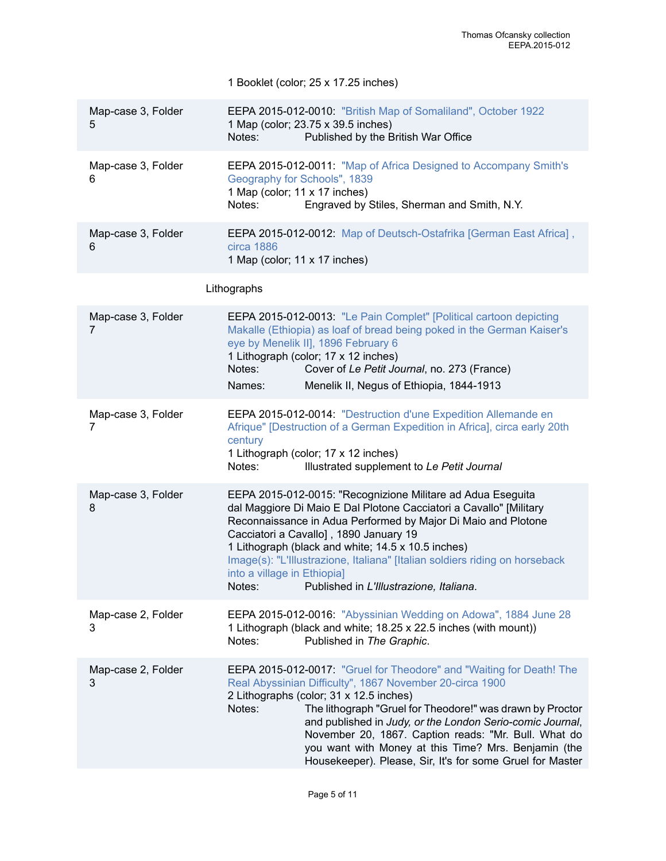|                         | 1 Booklet (color; 25 x 17.25 inches)                                                                                                                                                                                                                                                                                                                                                                                                                                                         |
|-------------------------|----------------------------------------------------------------------------------------------------------------------------------------------------------------------------------------------------------------------------------------------------------------------------------------------------------------------------------------------------------------------------------------------------------------------------------------------------------------------------------------------|
| Map-case 3, Folder<br>5 | EEPA 2015-012-0010: "British Map of Somaliland", October 1922<br>1 Map (color; 23.75 x 39.5 inches)<br>Published by the British War Office<br>Notes:                                                                                                                                                                                                                                                                                                                                         |
| Map-case 3, Folder<br>6 | EEPA 2015-012-0011: "Map of Africa Designed to Accompany Smith's<br>Geography for Schools", 1839<br>1 Map (color; 11 x 17 inches)<br>Notes:<br>Engraved by Stiles, Sherman and Smith, N.Y.                                                                                                                                                                                                                                                                                                   |
| Map-case 3, Folder<br>6 | EEPA 2015-012-0012: Map of Deutsch-Ostafrika [German East Africa],<br>circa 1886<br>1 Map (color; 11 x 17 inches)                                                                                                                                                                                                                                                                                                                                                                            |
|                         | Lithographs                                                                                                                                                                                                                                                                                                                                                                                                                                                                                  |
| Map-case 3, Folder<br>7 | EEPA 2015-012-0013: "Le Pain Complet" [Political cartoon depicting<br>Makalle (Ethiopia) as loaf of bread being poked in the German Kaiser's<br>eye by Menelik II], 1896 February 6<br>1 Lithograph (color; 17 x 12 inches)<br>Cover of Le Petit Journal, no. 273 (France)<br>Notes:<br>Names:<br>Menelik II, Negus of Ethiopia, 1844-1913                                                                                                                                                   |
| Map-case 3, Folder<br>7 | EEPA 2015-012-0014: "Destruction d'une Expedition Allemande en<br>Afrique" [Destruction of a German Expedition in Africa], circa early 20th<br>century<br>1 Lithograph (color; 17 x 12 inches)<br>Notes:<br>Illustrated supplement to Le Petit Journal                                                                                                                                                                                                                                       |
| Map-case 3, Folder<br>8 | EEPA 2015-012-0015: "Recognizione Militare ad Adua Eseguita<br>dal Maggiore Di Maio E Dal Plotone Cacciatori a Cavallo" [Military<br>Reconnaissance in Adua Performed by Major Di Maio and Plotone<br>Cacciatori a Cavallo], 1890 January 19<br>1 Lithograph (black and white; 14.5 x 10.5 inches)<br>Image(s): "L'Illustrazione, Italiana" [Italian soldiers riding on horseback<br>into a village in Ethiopia]<br>Notes:<br>Published in L'Illustrazione, Italiana.                        |
| Map-case 2, Folder<br>3 | EEPA 2015-012-0016: "Abyssinian Wedding on Adowa", 1884 June 28<br>1 Lithograph (black and white; 18.25 x 22.5 inches (with mount))<br>Published in The Graphic.<br>Notes:                                                                                                                                                                                                                                                                                                                   |
| Map-case 2, Folder<br>3 | EEPA 2015-012-0017: "Gruel for Theodore" and "Waiting for Death! The<br>Real Abyssinian Difficulty", 1867 November 20-circa 1900<br>2 Lithographs (color; 31 x 12.5 inches)<br>Notes:<br>The lithograph "Gruel for Theodore!" was drawn by Proctor<br>and published in Judy, or the London Serio-comic Journal,<br>November 20, 1867. Caption reads: "Mr. Bull. What do<br>you want with Money at this Time? Mrs. Benjamin (the<br>Housekeeper). Please, Sir, It's for some Gruel for Master |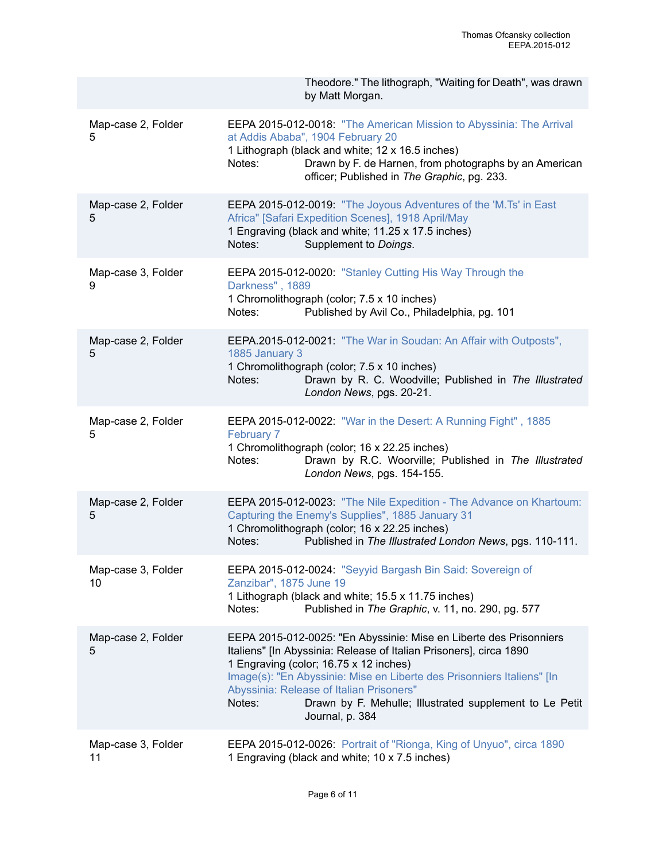|                          | Theodore." The lithograph, "Waiting for Death", was drawn<br>by Matt Morgan.                                                                                                                                                                                                                                                                                                                     |
|--------------------------|--------------------------------------------------------------------------------------------------------------------------------------------------------------------------------------------------------------------------------------------------------------------------------------------------------------------------------------------------------------------------------------------------|
| Map-case 2, Folder<br>5  | EEPA 2015-012-0018: "The American Mission to Abyssinia: The Arrival<br>at Addis Ababa", 1904 February 20<br>1 Lithograph (black and white; 12 x 16.5 inches)<br>Drawn by F. de Harnen, from photographs by an American<br>Notes:<br>officer; Published in The Graphic, pg. 233.                                                                                                                  |
| Map-case 2, Folder<br>5  | EEPA 2015-012-0019: "The Joyous Adventures of the 'M.Ts' in East<br>Africa" [Safari Expedition Scenes], 1918 April/May<br>1 Engraving (black and white; 11.25 x 17.5 inches)<br>Supplement to Doings.<br>Notes:                                                                                                                                                                                  |
| Map-case 3, Folder<br>9  | EEPA 2015-012-0020: "Stanley Cutting His Way Through the<br>Darkness", 1889<br>1 Chromolithograph (color; 7.5 x 10 inches)<br>Published by Avil Co., Philadelphia, pg. 101<br>Notes:                                                                                                                                                                                                             |
| Map-case 2, Folder<br>5  | EEPA.2015-012-0021: "The War in Soudan: An Affair with Outposts",<br>1885 January 3<br>1 Chromolithograph (color; 7.5 x 10 inches)<br>Drawn by R. C. Woodville; Published in The Illustrated<br>Notes:<br>London News, pgs. 20-21.                                                                                                                                                               |
| Map-case 2, Folder<br>5  | <b>EEPA 2015-012-0022: "War in the Desert: A Running Fight", 1885</b><br>February 7<br>1 Chromolithograph (color; 16 x 22.25 inches)<br>Drawn by R.C. Woorville; Published in The Illustrated<br>Notes:<br>London News, pgs. 154-155.                                                                                                                                                            |
| Map-case 2, Folder<br>5  | EEPA 2015-012-0023: "The Nile Expedition - The Advance on Khartoum:<br>Capturing the Enemy's Supplies", 1885 January 31<br>1 Chromolithograph (color; 16 x 22.25 inches)<br>Published in The Illustrated London News, pgs. 110-111.<br>Notes:                                                                                                                                                    |
| Map-case 3, Folder<br>10 | EEPA 2015-012-0024: "Seyyid Bargash Bin Said: Sovereign of<br>Zanzibar", 1875 June 19<br>1 Lithograph (black and white; 15.5 x 11.75 inches)<br>Published in The Graphic, v. 11, no. 290, pg. 577<br>Notes:                                                                                                                                                                                      |
| Map-case 2, Folder<br>5  | EEPA 2015-012-0025: "En Abyssinie: Mise en Liberte des Prisonniers<br>Italiens" [In Abyssinia: Release of Italian Prisoners], circa 1890<br>1 Engraving (color; 16.75 x 12 inches)<br>Image(s): "En Abyssinie: Mise en Liberte des Prisonniers Italiens" [In<br>Abyssinia: Release of Italian Prisoners"<br>Notes:<br>Drawn by F. Mehulle; Illustrated supplement to Le Petit<br>Journal, p. 384 |
| Map-case 3, Folder<br>11 | EEPA 2015-012-0026: Portrait of "Rionga, King of Unyuo", circa 1890<br>1 Engraving (black and white; 10 x 7.5 inches)                                                                                                                                                                                                                                                                            |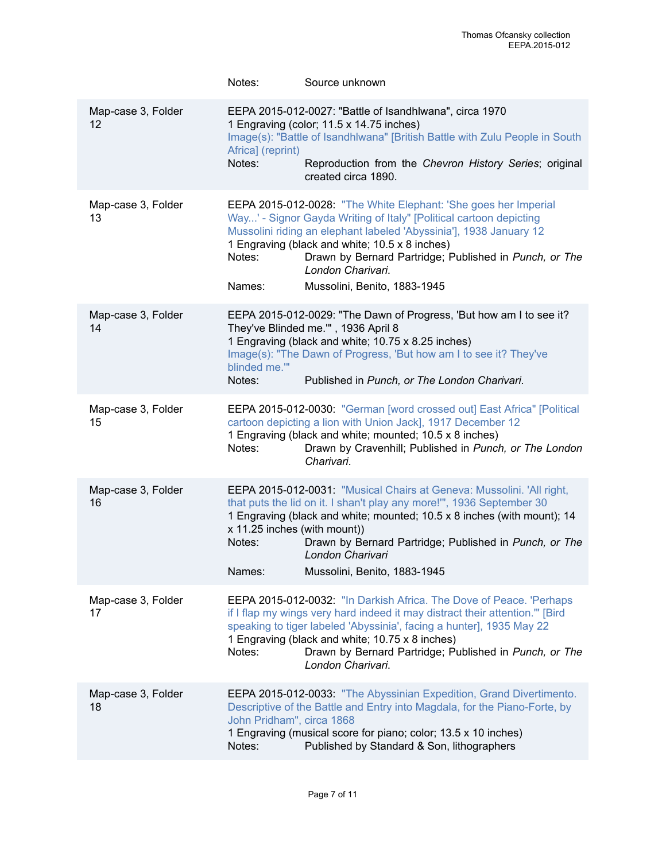|                          | Notes:                                           | Source unknown                                                                                                                                                                                                                                                                                                                                                               |
|--------------------------|--------------------------------------------------|------------------------------------------------------------------------------------------------------------------------------------------------------------------------------------------------------------------------------------------------------------------------------------------------------------------------------------------------------------------------------|
| Map-case 3, Folder<br>12 | Africa] (reprint)<br>Notes:                      | EEPA 2015-012-0027: "Battle of Isandhlwana", circa 1970<br>1 Engraving (color; 11.5 x 14.75 inches)<br>Image(s): "Battle of Isandhiwana" [British Battle with Zulu People in South<br>Reproduction from the Chevron History Series; original<br>created circa 1890.                                                                                                          |
| Map-case 3, Folder<br>13 | Notes:<br>Names:                                 | EEPA 2015-012-0028: "The White Elephant: 'She goes her Imperial<br>Way' - Signor Gayda Writing of Italy" [Political cartoon depicting<br>Mussolini riding an elephant labeled 'Abyssinia'], 1938 January 12<br>1 Engraving (black and white; 10.5 x 8 inches)<br>Drawn by Bernard Partridge; Published in Punch, or The<br>London Charivari.<br>Mussolini, Benito, 1883-1945 |
| Map-case 3, Folder<br>14 | blinded me.""<br>Notes:                          | EEPA 2015-012-0029: "The Dawn of Progress, 'But how am I to see it?<br>They've Blinded me."", 1936 April 8<br>1 Engraving (black and white; 10.75 x 8.25 inches)<br>Image(s): "The Dawn of Progress, 'But how am I to see it? They've<br>Published in Punch, or The London Charivari.                                                                                        |
| Map-case 3, Folder<br>15 | Notes:                                           | EEPA 2015-012-0030: "German [word crossed out] East Africa" [Political<br>cartoon depicting a lion with Union Jack], 1917 December 12<br>1 Engraving (black and white; mounted; 10.5 x 8 inches)<br>Drawn by Cravenhill; Published in Punch, or The London<br>Charivari.                                                                                                     |
| Map-case 3, Folder<br>16 | x 11.25 inches (with mount))<br>Notes:<br>Names: | EEPA 2015-012-0031: "Musical Chairs at Geneva: Mussolini. 'All right,<br>that puts the lid on it. I shan't play any more!", 1936 September 30<br>1 Engraving (black and white; mounted; 10.5 x 8 inches (with mount); 14<br>Drawn by Bernard Partridge; Published in Punch, or The<br>London Charivari<br>Mussolini, Benito, 1883-1945                                       |
| Map-case 3, Folder<br>17 | Notes:                                           | EEPA 2015-012-0032: "In Darkish Africa. The Dove of Peace. 'Perhaps<br>if I flap my wings very hard indeed it may distract their attention."" [Bird<br>speaking to tiger labeled 'Abyssinia', facing a hunter], 1935 May 22<br>1 Engraving (black and white; 10.75 x 8 inches)<br>Drawn by Bernard Partridge; Published in Punch, or The<br>London Charivari.                |
| Map-case 3, Folder<br>18 | John Pridham", circa 1868<br>Notes:              | EEPA 2015-012-0033: "The Abyssinian Expedition, Grand Divertimento.<br>Descriptive of the Battle and Entry into Magdala, for the Piano-Forte, by<br>1 Engraving (musical score for piano; color; 13.5 x 10 inches)<br>Published by Standard & Son, lithographers                                                                                                             |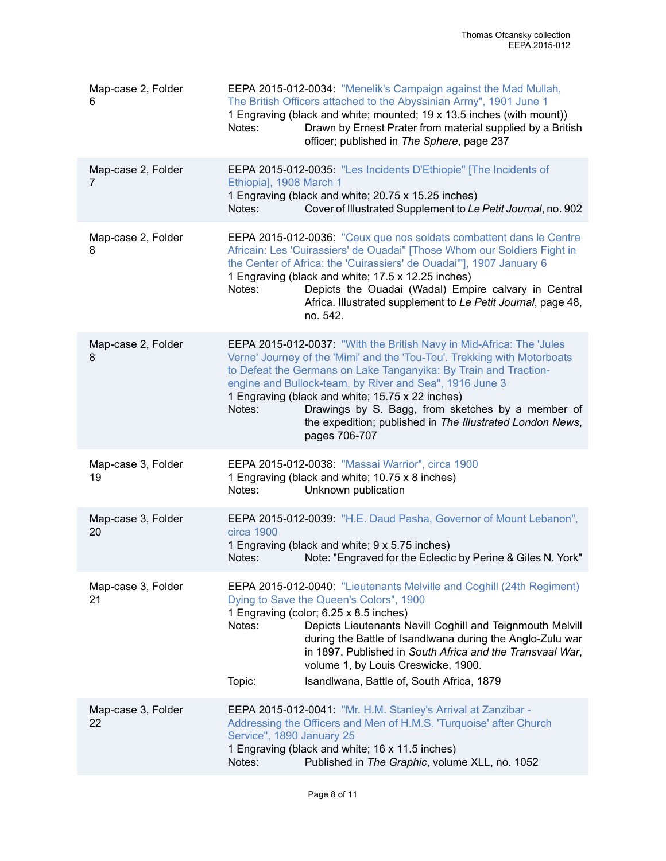| Map-case 2, Folder<br>6  | EEPA 2015-012-0034: "Menelik's Campaign against the Mad Mullah,<br>The British Officers attached to the Abyssinian Army", 1901 June 1<br>1 Engraving (black and white; mounted; 19 x 13.5 inches (with mount))<br>Notes:<br>Drawn by Ernest Prater from material supplied by a British<br>officer; published in The Sphere, page 237                                                                                                                                             |
|--------------------------|----------------------------------------------------------------------------------------------------------------------------------------------------------------------------------------------------------------------------------------------------------------------------------------------------------------------------------------------------------------------------------------------------------------------------------------------------------------------------------|
| Map-case 2, Folder<br>7  | EEPA 2015-012-0035: "Les Incidents D'Ethiopie" [The Incidents of<br>Ethiopia], 1908 March 1<br>1 Engraving (black and white; 20.75 x 15.25 inches)<br>Cover of Illustrated Supplement to Le Petit Journal, no. 902<br>Notes:                                                                                                                                                                                                                                                     |
| Map-case 2, Folder<br>8  | EEPA 2015-012-0036: "Ceux que nos soldats combattent dans le Centre<br>Africain: Les 'Cuirassiers' de Ouadai" [Those Whom our Soldiers Fight in<br>the Center of Africa: the 'Cuirassiers' de Ouadai""], 1907 January 6<br>1 Engraving (black and white; 17.5 x 12.25 inches)<br>Depicts the Ouadai (Wadal) Empire calvary in Central<br>Notes:<br>Africa. Illustrated supplement to Le Petit Journal, page 48,<br>no. 542.                                                      |
| Map-case 2, Folder<br>8  | EEPA 2015-012-0037: "With the British Navy in Mid-Africa: The 'Jules<br>Verne' Journey of the 'Mimi' and the 'Tou-Tou'. Trekking with Motorboats<br>to Defeat the Germans on Lake Tanganyika: By Train and Traction-<br>engine and Bullock-team, by River and Sea", 1916 June 3<br>1 Engraving (black and white; 15.75 x 22 inches)<br>Drawings by S. Bagg, from sketches by a member of<br>Notes:<br>the expedition; published in The Illustrated London News,<br>pages 706-707 |
| Map-case 3, Folder<br>19 | EEPA 2015-012-0038: "Massai Warrior", circa 1900<br>1 Engraving (black and white; 10.75 x 8 inches)<br>Unknown publication<br>Notes:                                                                                                                                                                                                                                                                                                                                             |
| Map-case 3, Folder<br>20 | EEPA 2015-012-0039: "H.E. Daud Pasha, Governor of Mount Lebanon",<br>circa 1900<br>1 Engraving (black and white; 9 x 5.75 inches)<br>Note: "Engraved for the Eclectic by Perine & Giles N. York"<br>Notes:                                                                                                                                                                                                                                                                       |
| Map-case 3, Folder<br>21 | EEPA 2015-012-0040: "Lieutenants Melville and Coghill (24th Regiment)<br>Dying to Save the Queen's Colors", 1900<br>1 Engraving (color; 6.25 x 8.5 inches)<br>Depicts Lieutenants Nevill Coghill and Teignmouth Melvill<br>Notes:<br>during the Battle of Isandlwana during the Anglo-Zulu war<br>in 1897. Published in South Africa and the Transvaal War,<br>volume 1, by Louis Creswicke, 1900.<br>Topic:<br>Isandlwana, Battle of, South Africa, 1879                        |
| Map-case 3, Folder<br>22 | EEPA 2015-012-0041: "Mr. H.M. Stanley's Arrival at Zanzibar -<br>Addressing the Officers and Men of H.M.S. 'Turquoise' after Church<br>Service", 1890 January 25<br>1 Engraving (black and white; 16 x 11.5 inches)<br>Published in The Graphic, volume XLL, no. 1052<br>Notes:                                                                                                                                                                                                  |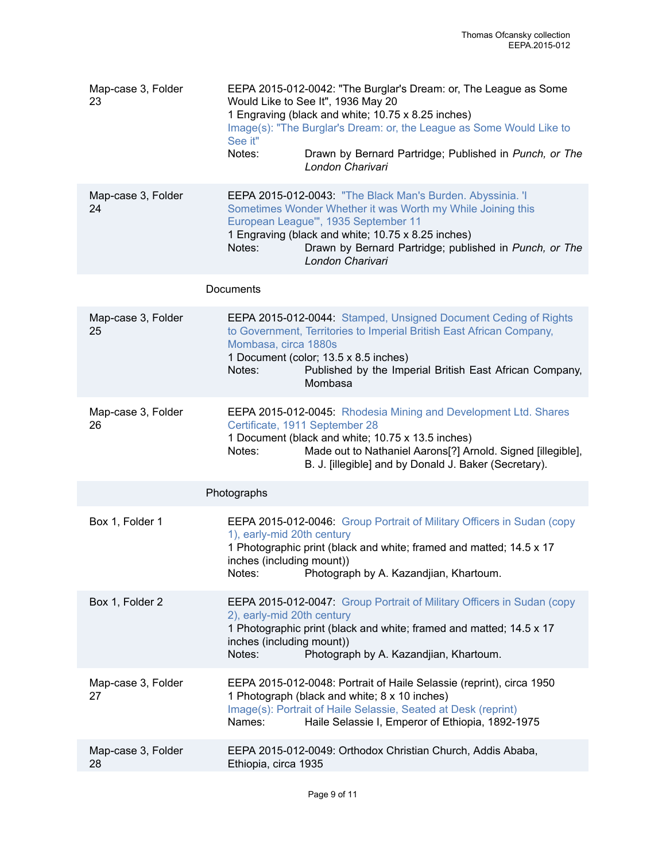| Map-case 3, Folder<br>23 | EEPA 2015-012-0042: "The Burglar's Dream: or, The League as Some<br>Would Like to See It", 1936 May 20<br>1 Engraving (black and white; 10.75 x 8.25 inches)<br>Image(s): "The Burglar's Dream: or, the League as Some Would Like to<br>See it"<br>Notes:<br>Drawn by Bernard Partridge; Published in Punch, or The<br>London Charivari |
|--------------------------|-----------------------------------------------------------------------------------------------------------------------------------------------------------------------------------------------------------------------------------------------------------------------------------------------------------------------------------------|
| Map-case 3, Folder<br>24 | EEPA 2015-012-0043: "The Black Man's Burden. Abyssinia. 'I<br>Sometimes Wonder Whether it was Worth my While Joining this<br>European League"', 1935 September 11<br>1 Engraving (black and white; 10.75 x 8.25 inches)<br>Drawn by Bernard Partridge; published in Punch, or The<br>Notes:<br>London Charivari                         |
|                          | Documents                                                                                                                                                                                                                                                                                                                               |
| Map-case 3, Folder<br>25 | EEPA 2015-012-0044: Stamped, Unsigned Document Ceding of Rights<br>to Government, Territories to Imperial British East African Company,<br>Mombasa, circa 1880s<br>1 Document (color; 13.5 x 8.5 inches)<br>Notes:<br>Published by the Imperial British East African Company,<br>Mombasa                                                |
| Map-case 3, Folder<br>26 | EEPA 2015-012-0045: Rhodesia Mining and Development Ltd. Shares<br>Certificate, 1911 September 28<br>1 Document (black and white; 10.75 x 13.5 inches)<br>Made out to Nathaniel Aarons[?] Arnold. Signed [illegible],<br>Notes:<br>B. J. [illegible] and by Donald J. Baker (Secretary).                                                |
|                          | Photographs                                                                                                                                                                                                                                                                                                                             |
| Box 1, Folder 1          | EEPA 2015-012-0046: Group Portrait of Military Officers in Sudan (copy<br>1), early-mid 20th century<br>1 Photographic print (black and white; framed and matted; 14.5 x 17<br>inches (including mount))<br>Notes:<br>Photograph by A. Kazandjian, Khartoum.                                                                            |
| Box 1, Folder 2          | EEPA 2015-012-0047: Group Portrait of Military Officers in Sudan (copy<br>2), early-mid 20th century<br>1 Photographic print (black and white; framed and matted; 14.5 x 17<br>inches (including mount))<br>Notes:<br>Photograph by A. Kazandjian, Khartoum.                                                                            |
| Map-case 3, Folder<br>27 | EEPA 2015-012-0048: Portrait of Haile Selassie (reprint), circa 1950<br>1 Photograph (black and white; 8 x 10 inches)<br>Image(s): Portrait of Haile Selassie, Seated at Desk (reprint)<br>Haile Selassie I, Emperor of Ethiopia, 1892-1975<br>Names:                                                                                   |
| Map-case 3, Folder<br>28 | EEPA 2015-012-0049: Orthodox Christian Church, Addis Ababa,<br>Ethiopia, circa 1935                                                                                                                                                                                                                                                     |
|                          |                                                                                                                                                                                                                                                                                                                                         |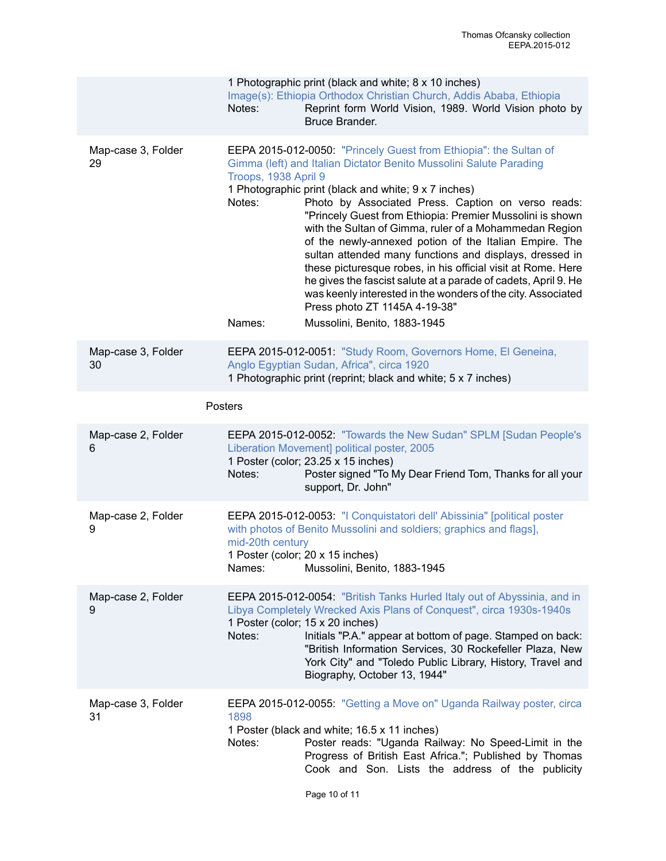|                          | Notes:                                   | 1 Photographic print (black and white; 8 x 10 inches)<br>Image(s): Ethiopia Orthodox Christian Church, Addis Ababa, Ethiopia<br>Reprint form World Vision, 1989. World Vision photo by<br>Bruce Brander.                                                                                                                                                                                                                                                                                                                                                                                                                                                                                                                                                             |
|--------------------------|------------------------------------------|----------------------------------------------------------------------------------------------------------------------------------------------------------------------------------------------------------------------------------------------------------------------------------------------------------------------------------------------------------------------------------------------------------------------------------------------------------------------------------------------------------------------------------------------------------------------------------------------------------------------------------------------------------------------------------------------------------------------------------------------------------------------|
| Map-case 3, Folder<br>29 | Troops, 1938 April 9<br>Notes:<br>Names: | EEPA 2015-012-0050: "Princely Guest from Ethiopia": the Sultan of<br>Gimma (left) and Italian Dictator Benito Mussolini Salute Parading<br>1 Photographic print (black and white; 9 x 7 inches)<br>Photo by Associated Press. Caption on verso reads:<br>"Princely Guest from Ethiopia: Premier Mussolini is shown<br>with the Sultan of Gimma, ruler of a Mohammedan Region<br>of the newly-annexed potion of the Italian Empire. The<br>sultan attended many functions and displays, dressed in<br>these picturesque robes, in his official visit at Rome. Here<br>he gives the fascist salute at a parade of cadets, April 9. He<br>was keenly interested in the wonders of the city. Associated<br>Press photo ZT 1145A 4-19-38"<br>Mussolini, Benito, 1883-1945 |
| Map-case 3, Folder<br>30 |                                          | EEPA 2015-012-0051: "Study Room, Governors Home, El Geneina,<br>Anglo Egyptian Sudan, Africa", circa 1920<br>1 Photographic print (reprint; black and white; 5 x 7 inches)                                                                                                                                                                                                                                                                                                                                                                                                                                                                                                                                                                                           |
|                          | Posters                                  |                                                                                                                                                                                                                                                                                                                                                                                                                                                                                                                                                                                                                                                                                                                                                                      |
| Map-case 2, Folder<br>6  | Notes:                                   | EEPA 2015-012-0052: "Towards the New Sudan" SPLM [Sudan People's<br>Liberation Movement] political poster, 2005<br>1 Poster (color; 23.25 x 15 inches)<br>Poster signed "To My Dear Friend Tom, Thanks for all your<br>support, Dr. John"                                                                                                                                                                                                                                                                                                                                                                                                                                                                                                                            |
| Map-case 2, Folder<br>9  | mid-20th century<br>Names:               | EEPA 2015-012-0053: "I Conquistatori dell' Abissinia" [political poster<br>with photos of Benito Mussolini and soldiers; graphics and flags],<br>1 Poster (color; 20 x 15 inches)<br>Mussolini, Benito, 1883-1945                                                                                                                                                                                                                                                                                                                                                                                                                                                                                                                                                    |
| Map-case 2, Folder<br>9  | Notes:                                   | EEPA 2015-012-0054: "British Tanks Hurled Italy out of Abyssinia, and in<br>Libya Completely Wrecked Axis Plans of Conquest", circa 1930s-1940s<br>1 Poster (color; 15 x 20 inches)<br>Initials "P.A." appear at bottom of page. Stamped on back:<br>"British Information Services, 30 Rockefeller Plaza, New<br>York City" and "Toledo Public Library, History, Travel and<br>Biography, October 13, 1944"                                                                                                                                                                                                                                                                                                                                                          |
| Map-case 3, Folder<br>31 | 1898<br>Notes:                           | EEPA 2015-012-0055: "Getting a Move on" Uganda Railway poster, circa<br>1 Poster (black and white; 16.5 x 11 inches)<br>Poster reads: "Uganda Railway: No Speed-Limit in the<br>Progress of British East Africa."; Published by Thomas<br>Cook and Son. Lists the address of the publicity                                                                                                                                                                                                                                                                                                                                                                                                                                                                           |